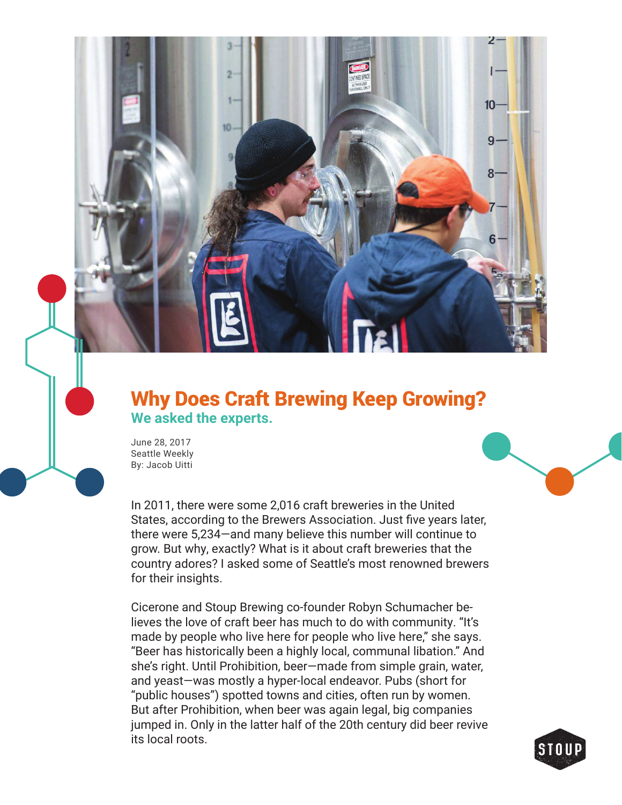

## Why Does Craft Brewing Keep Growing? **We asked the experts.**

June 28, 2017 Seattle Weekly By: Jacob Uitti

In 2011, there were some 2,016 craft breweries in the United States, according to the Brewers Association. Just five years later, there were 5,234—and many believe this number will continue to grow. But why, exactly? What is it about craft breweries that the country adores? I asked some of Seattle's most renowned brewers for their insights.

Cicerone and Stoup Brewing co-founder Robyn Schumacher believes the love of craft beer has much to do with community. "It's made by people who live here for people who live here," she says. "Beer has historically been a highly local, communal libation." And she's right. Until Prohibition, beer—made from simple grain, water, and yeast—was mostly a hyper-local endeavor. Pubs (short for "public houses") spotted towns and cities, often run by women. But after Prohibition, when beer was again legal, big companies jumped in. Only in the latter half of the 20th century did beer revive its local roots.